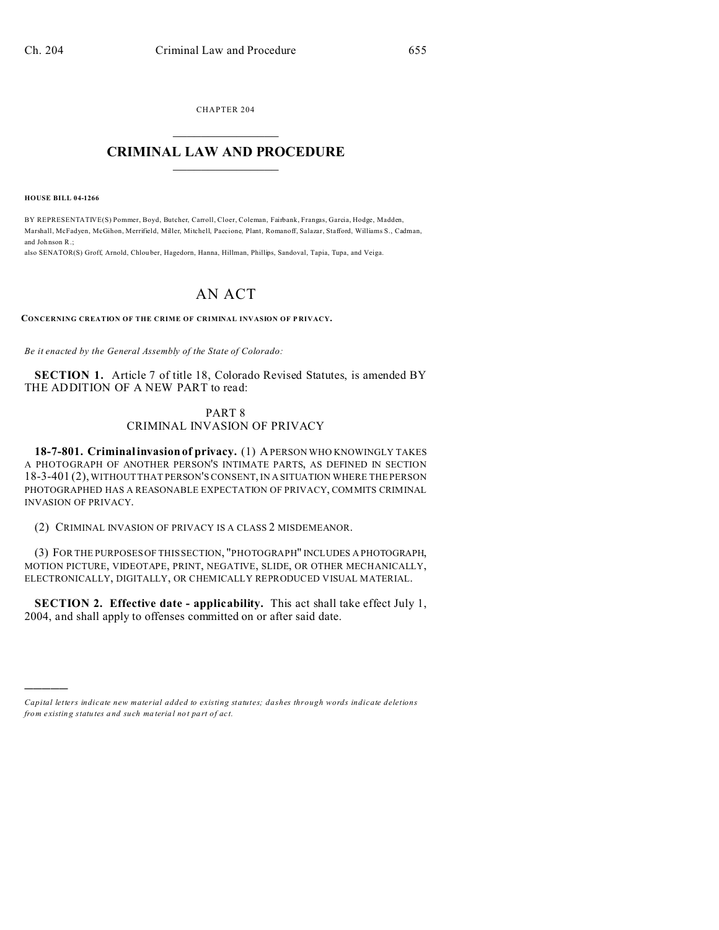CHAPTER 204  $\overline{\phantom{a}}$  , where  $\overline{\phantom{a}}$ 

## **CRIMINAL LAW AND PROCEDURE**  $\_$   $\_$   $\_$   $\_$   $\_$   $\_$   $\_$   $\_$   $\_$

**HOUSE BILL 04-1266**

)))))

BY REPRESENTATIVE(S) Pommer, Boyd, Butcher, Carroll, Cloer, Coleman, Fairbank, Frangas, Garcia, Hodge, Madden, Marshall, McFadyen, McGihon, Merrifield, Miller, Mitchell, Paccione, Plant, Romanoff, Salazar, Stafford, Williams S., Cadman, and Joh nson R.;

also SENATOR(S) Groff, Arnold, Chlou ber, Hagedorn, Hanna, Hillman, Phillips, Sandoval, Tapia, Tupa, and Veiga.

## AN ACT

**CONCERNING CREATION OF THE CRIME OF CRIMINAL INVASION OF P RIVACY.**

*Be it enacted by the General Assembly of the State of Colorado:*

**SECTION 1.** Article 7 of title 18, Colorado Revised Statutes, is amended BY THE ADDITION OF A NEW PART to read:

## PART 8 CRIMINAL INVASION OF PRIVACY

**18-7-801. Criminal invasion of privacy.** (1) A PERSON WHO KNOWINGLY TAKES A PHOTOGRAPH OF ANOTHER PERSON'S INTIMATE PARTS, AS DEFINED IN SECTION 18-3-401 (2), WITHOUT THAT PERSON'S CONSENT, IN A SITUATION WHERE THE PERSON PHOTOGRAPHED HAS A REASONABLE EXPECTATION OF PRIVACY, COMMITS CRIMINAL INVASION OF PRIVACY.

(2) CRIMINAL INVASION OF PRIVACY IS A CLASS 2 MISDEMEANOR.

(3) FOR THE PURPOSES OF THIS SECTION, "PHOTOGRAPH" INCLUDES A PHOTOGRAPH, MOTION PICTURE, VIDEOTAPE, PRINT, NEGATIVE, SLIDE, OR OTHER MECHANICALLY, ELECTRONICALLY, DIGITALLY, OR CHEMICALLY REPRODUCED VISUAL MATERIAL.

**SECTION 2. Effective date - applicability.** This act shall take effect July 1, 2004, and shall apply to offenses committed on or after said date.

*Capital letters indicate new material added to existing statutes; dashes through words indicate deletions from e xistin g statu tes a nd such ma teria l no t pa rt of ac t.*